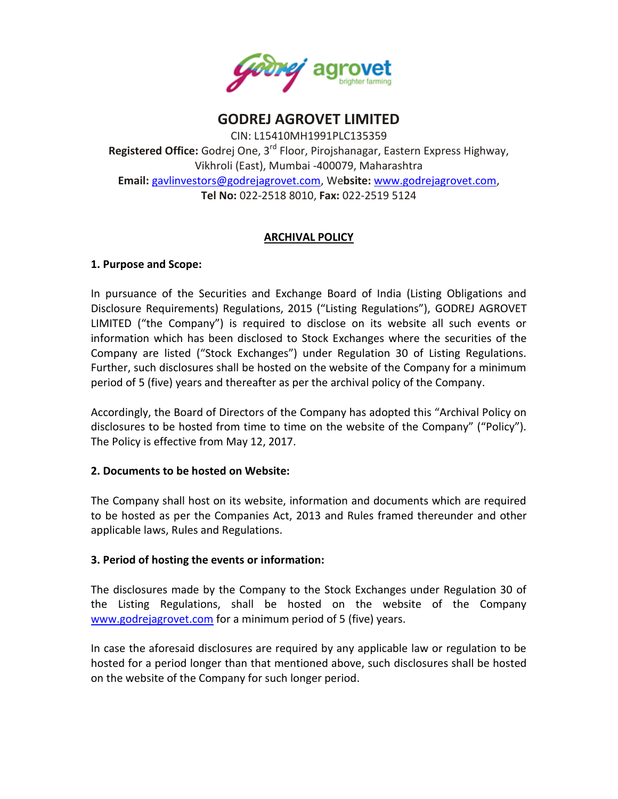

# **GODREJ AGROVET LIMITED**

CIN: L15410MH1991PLC135359 **Registered Office:** Godrej One, 3rd Floor, Pirojshanagar, Eastern Express Highway, Vikhroli (East), Mumbai -400079, Maharashtra **Email:** [gavlinvestors@godrejagrovet.com,](mailto:gavlinvestors@godrejagrovet.com) We**bsite:** [www.godrejagrovet.com,](http://www.godrejagrovet.com/) **Tel No:** 022-2518 8010, **Fax:** 022-2519 5124

## **ARCHIVAL POLICY**

#### **1. Purpose and Scope:**

In pursuance of the Securities and Exchange Board of India (Listing Obligations and Disclosure Requirements) Regulations, 2015 ("Listing Regulations"), GODREJ AGROVET LIMITED ("the Company") is required to disclose on its website all such events or information which has been disclosed to Stock Exchanges where the securities of the Company are listed ("Stock Exchanges") under Regulation 30 of Listing Regulations. Further, such disclosures shall be hosted on the website of the Company for a minimum period of 5 (five) years and thereafter as per the archival policy of the Company.

Accordingly, the Board of Directors of the Company has adopted this "Archival Policy on disclosures to be hosted from time to time on the website of the Company" ("Policy"). The Policy is effective from May 12, 2017.

#### **2. Documents to be hosted on Website:**

The Company shall host on its website, information and documents which are required to be hosted as per the Companies Act, 2013 and Rules framed thereunder and other applicable laws, Rules and Regulations.

#### **3. Period of hosting the events or information:**

The disclosures made by the Company to the Stock Exchanges under Regulation 30 of the Listing Regulations, shall be hosted on the website of the Company [www.godrejagrovet.com](http://www.godrejagrovet.com/) for a minimum period of 5 (five) years.

In case the aforesaid disclosures are required by any applicable law or regulation to be hosted for a period longer than that mentioned above, such disclosures shall be hosted on the website of the Company for such longer period.